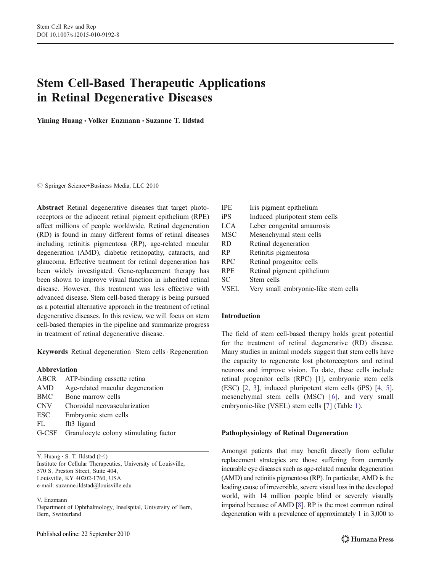# Stem Cell-Based Therapeutic Applications in Retinal Degenerative Diseases

Yiming Huang · Volker Enzmann · Suzanne T. Ildstad

#### $©$  Springer Science+Business Media, LLC 2010

Abstract Retinal degenerative diseases that target photoreceptors or the adjacent retinal pigment epithelium (RPE) affect millions of people worldwide. Retinal degeneration (RD) is found in many different forms of retinal diseases including retinitis pigmentosa (RP), age-related macular degeneration (AMD), diabetic retinopathy, cataracts, and glaucoma. Effective treatment for retinal degeneration has been widely investigated. Gene-replacement therapy has been shown to improve visual function in inherited retinal disease. However, this treatment was less effective with advanced disease. Stem cell-based therapy is being pursued as a potential alternative approach in the treatment of retinal degenerative diseases. In this review, we will focus on stem cell-based therapies in the pipeline and summarize progress in treatment of retinal degenerative disease.

Keywords Retinal degeneration . Stem cells . Regeneration

## Abbreviation

|            | ABCR ATP-binding cassette retina      |
|------------|---------------------------------------|
| AMD        | Age-related macular degeneration      |
| BMC        | Bone marrow cells                     |
| <b>CNV</b> | Choroidal neovascularization          |
| ESC.       | Embryonic stem cells                  |
| FL         | flt3 ligand                           |
| G-CSF      | Granulocyte colony stimulating factor |

Y. Huang  $\cdot$  S. T. Ildstad ( $\boxtimes$ ) Institute for Cellular Therapeutics, University of Louisville, 570 S. Preston Street, Suite 404, Louisville, KY 40202-1760, USA e-mail: suzanne.ildstad@louisville.edu

V. Enzmann

Department of Ophthalmology, Inselspital, University of Bern, Bern, Switzerland

| <b>IPE</b>  | Iris pigment epithelium              |
|-------------|--------------------------------------|
| iPS         | Induced pluripotent stem cells       |
| <b>LCA</b>  | Leber congenital amaurosis           |
| <b>MSC</b>  | Mesenchymal stem cells               |
| <b>RD</b>   | Retinal degeneration                 |
| <b>RP</b>   | Retinitis pigmentosa                 |
| <b>RPC</b>  | Retinal progenitor cells             |
| <b>RPE</b>  | Retinal pigment epithelium           |
| <b>SC</b>   | Stem cells                           |
| <b>VSEL</b> | Very small embryonic-like stem cells |

## Introduction

The field of stem cell-based therapy holds great potential for the treatment of retinal degenerative (RD) disease. Many studies in animal models suggest that stem cells have the capacity to regenerate lost photoreceptors and retinal neurons and improve vision. To date, these cells include retinal progenitor cells (RPC) [\[1](#page-7-0)], embryonic stem cells (ESC) [\[2](#page-7-0), [3](#page-7-0)], induced pluripotent stem cells (iPS) [[4,](#page-7-0) [5\]](#page-8-0), mesenchymal stem cells (MSC) [\[6\]](#page-8-0), and very small embryonic-like (VSEL) stem cells [[7\]](#page-8-0) (Table [1](#page-1-0)).

### Pathophysiology of Retinal Degeneration

Amongst patients that may benefit directly from cellular replacement strategies are those suffering from currently incurable eye diseases such as age-related macular degeneration (AMD) and retinitis pigmentosa (RP). In particular, AMD is the leading cause of irreversible, severe visual loss in the developed world, with 14 million people blind or severely visually impaired because of AMD [[8\]](#page-8-0). RP is the most common retinal degeneration with a prevalence of approximately 1 in 3,000 to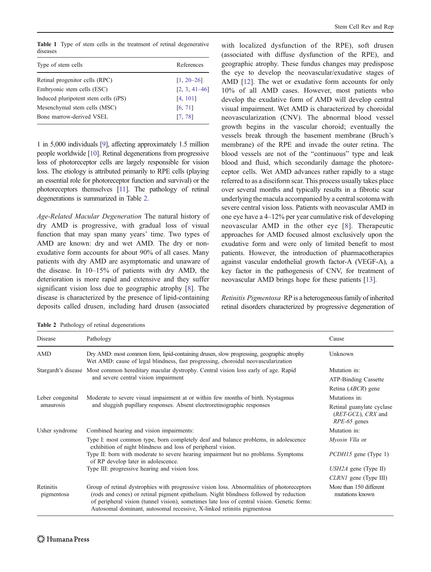<span id="page-1-0"></span>Table 1 Type of stem cells in the treatment of retinal degenerative diseases

| Type of stem cells                   | References        |  |
|--------------------------------------|-------------------|--|
| Retinal progenitor cells (RPC)       | $[1, 20 - 26]$    |  |
| Embryonic stem cells (ESC)           | $[2, 3, 41 - 46]$ |  |
| Induced pluripotent stem cells (iPS) | [4, 101]          |  |
| Mesenchymal stem cells (MSC)         | [6, 71]           |  |
| Bone marrow-derived VSEL             | [7, 78]           |  |
|                                      |                   |  |

1 in 5,000 individuals [\[9\]](#page-8-0), affecting approximately 1.5 million people worldwide [\[10\]](#page-8-0). Retinal degenerations from progressive loss of photoreceptor cells are largely responsible for vision loss. The etiology is attributed primarily to RPE cells (playing an essential role for photoreceptor function and survival) or the photoreceptors themselves [[11\]](#page-8-0). The pathology of retinal degenerations is summarized in Table 2.

Age-Related Macular Degeneration The natural history of dry AMD is progressive, with gradual loss of visual function that may span many years' time. Two types of AMD are known: dry and wet AMD. The dry or nonexudative form accounts for about 90% of all cases. Many patients with dry AMD are asymptomatic and unaware of the disease. In 10–15% of patients with dry AMD, the deterioration is more rapid and extensive and they suffer significant vision loss due to geographic atrophy [\[8](#page-8-0)]. The disease is characterized by the presence of lipid-containing deposits called drusen, including hard drusen (associated

with localized dysfunction of the RPE), soft drusen (associated with diffuse dysfunction of the RPE), and geographic atrophy. These fundus changes may predispose the eye to develop the neovascular/exudative stages of AMD [[12\]](#page-8-0). The wet or exudative form accounts for only 10% of all AMD cases. However, most patients who develop the exudative form of AMD will develop central visual impairment. Wet AMD is characterized by choroidal neovascularization (CNV). The abnormal blood vessel growth begins in the vascular choroid; eventually the vessels break through the basement membrane (Bruch's membrane) of the RPE and invade the outer retina. The blood vessels are not of the "continuous" type and leak blood and fluid, which secondarily damage the photoreceptor cells. Wet AMD advances rather rapidly to a stage referred to as a disciform scar. This process usually takes place over several months and typically results in a fibrotic scar underlying the macula accompanied by a central scotoma with severe central vision loss. Patients with neovascular AMD in one eye have a 4–12% per year cumulative risk of developing neovascular AMD in the other eye [[8\]](#page-8-0). Therapeutic approaches for AMD focused almost exclusively upon the exudative form and were only of limited benefit to most patients. However, the introduction of pharmacotherapies against vascular endothelial growth factor-A (VEGF-A), a key factor in the pathogenesis of CNV, for treatment of neovascular AMD brings hope for these patients [[13](#page-8-0)].

Retinitis Pigmentosa RP is a heterogeneous family of inherited retinal disorders characterized by progressive degeneration of

Table 2 Pathology of retinal degenerations

| Disease                       | Pathology                                                                                                                                                                                                                                                                                                                                                    | Cause                                                                  |
|-------------------------------|--------------------------------------------------------------------------------------------------------------------------------------------------------------------------------------------------------------------------------------------------------------------------------------------------------------------------------------------------------------|------------------------------------------------------------------------|
| AMD                           | Dry AMD: most common form, lipid-containing drusen, slow progressing, geographic atrophy<br>Wet AMD: cause of legal blindness, fast progressing, choroidal neovascularization                                                                                                                                                                                | Unknown                                                                |
|                               | Stargardt's disease Most common hereditary macular dystrophy. Central vision loss early of age. Rapid<br>and severe central vision impairment                                                                                                                                                                                                                | Mutation in:                                                           |
|                               |                                                                                                                                                                                                                                                                                                                                                              | <b>ATP-Binding Cassette</b>                                            |
|                               |                                                                                                                                                                                                                                                                                                                                                              | Retina ( <i>ABCR</i> ) gene                                            |
| Leber congenital<br>amaurosis | Moderate to severe visual impairment at or within few months of birth. Nystagmus<br>and sluggish pupillary responses. Absent electroretinographic responses                                                                                                                                                                                                  | Mutations in:                                                          |
|                               |                                                                                                                                                                                                                                                                                                                                                              | Retinal guanylate cyclase<br>$(RET-GCL)$ , $CRX$ and<br>$RPE-65$ genes |
| Usher syndrome                | Combined hearing and vision impairments:                                                                                                                                                                                                                                                                                                                     | Mutation in:                                                           |
|                               | Type I: most common type, born completely deaf and balance problems, in adolescence<br>exhibition of night blindness and loss of peripheral vision.                                                                                                                                                                                                          | Myosin Vlla or                                                         |
|                               | Type II: born with moderate to severe hearing impairment but no problems. Symptoms<br>of RP develop later in adolescence.                                                                                                                                                                                                                                    | <i>PCDH15</i> gene (Type 1)                                            |
|                               | Type III: progressive hearing and vision loss.                                                                                                                                                                                                                                                                                                               | $USH2A$ gene (Type II)                                                 |
|                               |                                                                                                                                                                                                                                                                                                                                                              | CLRN1 gene (Type III)                                                  |
| Retinitis<br>pigmentosa       | Group of retinal dystrophies with progressive vision loss. Abnormalities of photoreceptors<br>(rods and cones) or retinal pigment epithelium. Night blindness followed by reduction<br>of peripheral vision (tunnel vision), sometimes late loss of central vision. Genetic forms:<br>Autosomal dominant, autosomal recessive, X-linked retinitis pigmentosa | More than 150 different<br>mutations known                             |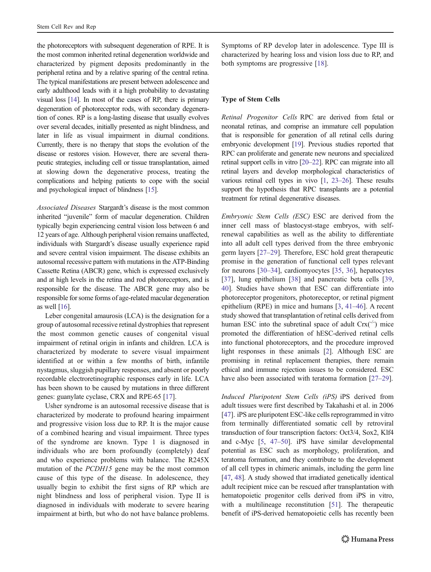the photoreceptors with subsequent degeneration of RPE. It is the most common inherited retinal degeneration worldwide and characterized by pigment deposits predominantly in the peripheral retina and by a relative sparing of the central retina. The typical manifestations are present between adolescence and early adulthood leads with it a high probability to devastating visual loss [\[14](#page-8-0)]. In most of the cases of RP, there is primary degeneration of photoreceptor rods, with secondary degeneration of cones. RP is a long-lasting disease that usually evolves over several decades, initially presented as night blindness, and later in life as visual impairment in diurnal conditions. Currently, there is no therapy that stops the evolution of the disease or restores vision. However, there are several therapeutic strategies, including cell or tissue transplantation, aimed at slowing down the degenerative process, treating the complications and helping patients to cope with the social and psychological impact of blindness [\[15\]](#page-8-0).

Associated Diseases Stargardt's disease is the most common inherited "juvenile" form of macular degeneration. Children typically begin experiencing central vision loss between 6 and 12 years of age. Although peripheral vision remains unaffected, individuals with Stargardt's disease usually experience rapid and severe central vision impairment. The disease exhibits an autosomal recessive pattern with mutations in the ATP-Binding Cassette Retina (ABCR) gene, which is expressed exclusively and at high levels in the retina and rod photoreceptors, and is responsible for the disease. The ABCR gene may also be responsible for some forms of age-related macular degeneration as well [\[16](#page-8-0)].

Leber congenital amaurosis (LCA) is the designation for a group of autosomal recessive retinal dystrophies that represent the most common genetic causes of congenital visual impairment of retinal origin in infants and children. LCA is characterized by moderate to severe visual impairment identified at or within a few months of birth, infantile nystagmus, sluggish pupillary responses, and absent or poorly recordable electroretinographic responses early in life. LCA has been shown to be caused by mutations in three different genes: guanylate cyclase, CRX and RPE-65 [[17](#page-8-0)].

Usher syndrome is an autosomal recessive disease that is characterized by moderate to profound hearing impairment and progressive vision loss due to RP. It is the major cause of a combined hearing and visual impairment. Three types of the syndrome are known. Type 1 is diagnosed in individuals who are born profoundly (completely) deaf and who experience problems with balance. The R245X mutation of the *PCDH15* gene may be the most common cause of this type of the disease. In adolescence, they usually begin to exhibit the first signs of RP which are night blindness and loss of peripheral vision. Type II is diagnosed in individuals with moderate to severe hearing impairment at birth, but who do not have balance problems.

Symptoms of RP develop later in adolescence. Type III is characterized by hearing loss and vision loss due to RP, and both symptoms are progressive [\[18](#page-8-0)].

## Type of Stem Cells

Retinal Progenitor Cells RPC are derived from fetal or neonatal retinas, and comprise an immature cell population that is responsible for generation of all retinal cells during embryonic development [[19](#page-8-0)]. Previous studies reported that RPC can proliferate and generate new neurons and specialized retinal support cells in vitro [\[20](#page-8-0)–[22](#page-8-0)]. RPC can migrate into all retinal layers and develop morphological characteristics of various retinal cell types in vivo [\[1](#page-7-0), [23](#page-8-0)–[26](#page-8-0)]. These results support the hypothesis that RPC transplants are a potential treatment for retinal degenerative diseases.

Embryonic Stem Cells (ESC) ESC are derived from the inner cell mass of blastocyst-stage embryos, with selfrenewal capabilities as well as the ability to differentiate into all adult cell types derived from the three embryonic germ layers [[27](#page-8-0)–[29\]](#page-8-0). Therefore, ESC hold great therapeutic promise in the generation of functional cell types relevant for neurons [\[30](#page-8-0)–[34](#page-8-0)], cardiomyocytes [[35](#page-8-0), [36](#page-8-0)], hepatocytes [\[37](#page-8-0)], lung epithelium [\[38](#page-8-0)] and pancreatic beta cells [[39,](#page-8-0) [40](#page-8-0)]. Studies have shown that ESC can differentiate into photoreceptor progenitors, photoreceptor, or retinal pigment epithelium (RPE) in mice and humans [[3,](#page-7-0) [41](#page-8-0)–[46](#page-9-0)]. A recent study showed that transplantation of retinal cells derived from human ESC into the subretinal space of adult  $Crx<sup>-/-</sup>$  mice promoted the differentiation of hESC-derived retinal cells into functional photoreceptors, and the procedure improved light responses in these animals [\[2](#page-7-0)]. Although ESC are promising in retinal replacement therapies, there remain ethical and immune rejection issues to be considered. ESC have also been associated with teratoma formation [\[27](#page-8-0)–[29\]](#page-8-0).

Induced Pluripotent Stem Cells (iPS) iPS derived from adult tissues were first described by Takahashi et al. in 2006 [\[47](#page-9-0)]. iPS are pluripotent ESC-like cells reprogrammed in vitro from terminally differentiated somatic cell by retroviral transduction of four transcription factors: Oct3/4, Sox2, Klf4 and c-Myc [\[5,](#page-8-0) [47](#page-9-0)–[50](#page-9-0)]. iPS have similar developmental potential as ESC such as morphology, proliferation, and teratoma formation, and they contribute to the development of all cell types in chimeric animals, including the germ line [\[47](#page-9-0), [48](#page-9-0)]. A study showed that irradiated genetically identical adult recipient mice can be rescued after transplantation with hematopoietic progenitor cells derived from iPS in vitro, with a multilineage reconstitution [[51\]](#page-9-0). The therapeutic benefit of iPS-derived hematopoietic cells has recently been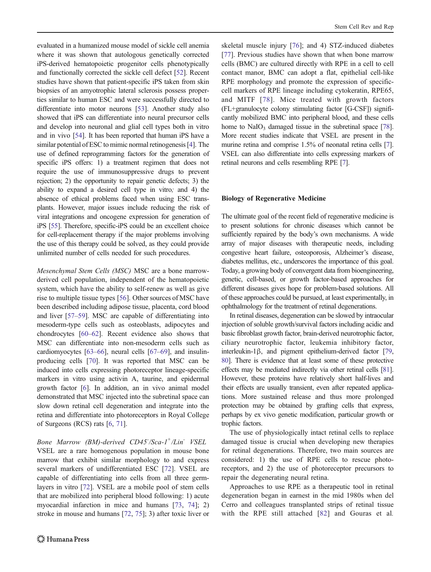evaluated in a humanized mouse model of sickle cell anemia where it was shown that autologous genetically corrected iPS-derived hematopoietic progenitor cells phenotypically and functionally corrected the sickle cell defect [[52\]](#page-9-0). Recent studies have shown that patient-specific iPS taken from skin biopsies of an amyotrophic lateral sclerosis possess properties similar to human ESC and were successfully directed to differentiate into motor neurons [\[53\]](#page-9-0). Another study also showed that iPS can differentiate into neural precursor cells and develop into neuronal and glial cell types both in vitro and in vivo [[54](#page-9-0)]. It has been reported that human iPS have a similar potential of ESC to mimic normal retinogenesis [\[4](#page-7-0)]. The use of defined reprogramming factors for the generation of specific iPS offers: 1) a treatment regimen that does not require the use of immunosuppressive drugs to prevent rejection; 2) the opportunity to repair genetic defects; 3) the ability to expand a desired cell type in vitro; and 4) the absence of ethical problems faced when using ESC transplants. However, major issues include reducing the risk of viral integrations and oncogene expression for generation of iPS [\[55\]](#page-9-0). Therefore, specific-iPS could be an excellent choice for cell-replacement therapy if the major problems involving the use of this therapy could be solved, as they could provide unlimited number of cells needed for such procedures.

Mesenchymal Stem Cells (MSC) MSC are a bone marrowderived cell population, independent of the hematopoietic system, which have the ability to self-renew as well as give rise to multiple tissue types [[56\]](#page-9-0). Other sources of MSC have been described including adipose tissue, placenta, cord blood and liver [\[57](#page-9-0)–[59\]](#page-9-0). MSC are capable of differentiating into mesoderm-type cells such as osteoblasts, adipocytes and chondrocytes [\[60](#page-9-0)–[62\]](#page-9-0). Recent evidence also shows that MSC can differentiate into non-mesoderm cells such as cardiomyocytes [[63](#page-9-0)–[66](#page-9-0)], neural cells [\[67](#page-9-0)–[69\]](#page-9-0), and insulinproducing cells [[70](#page-9-0)]. It was reported that MSC can be induced into cells expressing photoreceptor lineage-specific markers in vitro using activin A, taurine, and epidermal growth factor [[6\]](#page-8-0). In addition, an in vivo animal model demonstrated that MSC injected into the subretinal space can slow down retinal cell degeneration and integrate into the retina and differentiate into photoreceptors in Royal College of Surgeons (RCS) rats [\[6,](#page-8-0) [71](#page-9-0)].

Bone Marrow (BM)-derived CD45<sup>-</sup>/Sca-1<sup>+</sup>/Lin<sup>-</sup> VSEL VSEL are a rare homogenous population in mouse bone marrow that exhibit similar morphology to and express several markers of undifferentiated ESC [\[72](#page-9-0)]. VSEL are capable of differentiating into cells from all three germlayers in vitro [[72](#page-9-0)]. VSEL are a mobile pool of stem cells that are mobilized into peripheral blood following: 1) acute myocardial infarction in mice and humans [[73,](#page-9-0) [74\]](#page-9-0); 2) stroke in mouse and humans [\[72](#page-9-0), [75\]](#page-9-0); 3) after toxic liver or skeletal muscle injury [[76\]](#page-9-0); and 4) STZ-induced diabetes [\[77](#page-9-0)]. Previous studies have shown that when bone marrow cells (BMC) are cultured directly with RPE in a cell to cell contact manor, BMC can adopt a flat, epithelial cell-like RPE morphology and promote the expression of specificcell markers of RPE lineage including cytokeratin, RPE65, and MITF [[78\]](#page-9-0). Mice treated with growth factors (FL+granulocyte colony stimulating factor [G-CSF]) significantly mobilized BMC into peripheral blood, and these cells home to  $NaIO<sub>3</sub>$  damaged tissue in the subretinal space [\[78\]](#page-9-0). More recent studies indicate that VSEL are present in the murine retina and comprise 1.5% of neonatal retina cells [\[7\]](#page-8-0). VSEL can also differentiate into cells expressing markers of retinal neurons and cells resembling RPE [\[7\]](#page-8-0).

## Biology of Regenerative Medicine

The ultimate goal of the recent field of regenerative medicine is to present solutions for chronic diseases which cannot be sufficiently repaired by the body's own mechanisms. A wide array of major diseases with therapeutic needs, including congestive heart failure, osteoporosis, Alzheimer's disease, diabetes mellitus, etc., underscores the importance of this goal. Today, a growing body of convergent data from bioengineering, genetic, cell-based, or growth factor-based approaches for different diseases gives hope for problem-based solutions. All of these approaches could be pursued, at least experimentally, in ophthalmology for the treatment of retinal degenerations.

In retinal diseases, degeneration can be slowed by intraocular injection of soluble growth/survival factors including acidic and basic fibroblast growth factor, brain-derived neurotrophic factor, ciliary neurotrophic factor, leukemia inhibitory factor, interleukin-1β, and pigment epithelium-derived factor [\[79,](#page-9-0) [80\]](#page-9-0). There is evidence that at least some of these protective effects may be mediated indirectly via other retinal cells [\[81\]](#page-9-0). However, these proteins have relatively short half-lives and their effects are usually transient, even after repeated applications. More sustained release and thus more prolonged protection may be obtained by grafting cells that express, perhaps by ex vivo genetic modification, particular growth or trophic factors.

The use of physiologically intact retinal cells to replace damaged tissue is crucial when developing new therapies for retinal degenerations. Therefore, two main sources are considered: 1) the use of RPE cells to rescue photoreceptors, and 2) the use of photoreceptor precursors to repair the degenerating neural retina.

Approaches to use RPE as a therapeutic tool in retinal degeneration began in earnest in the mid 1980s when del Cerro and colleagues transplanted strips of retinal tissue with the RPE still attached [[82\]](#page-9-0) and Gouras et al.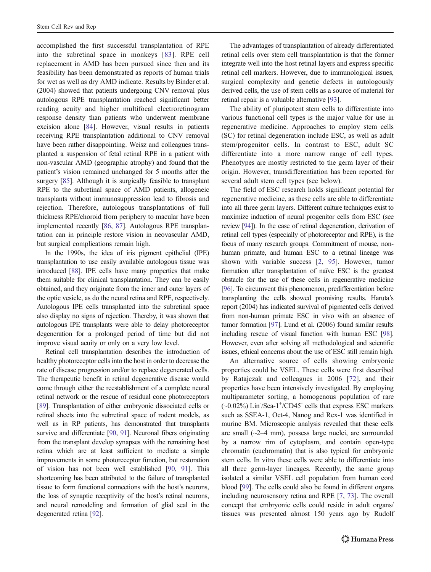accomplished the first successful transplantation of RPE into the subretinal space in monkeys [\[83\]](#page-10-0). RPE cell replacement in AMD has been pursued since then and its feasibility has been demonstrated as reports of human trials for wet as well as dry AMD indicate. Results by Binder et al. (2004) showed that patients undergoing CNV removal plus autologous RPE transplantation reached significant better reading acuity and higher multifocal electroretinogram response density than patients who underwent membrane excision alone [[84\]](#page-10-0). However, visual results in patients receiving RPE transplantation additional to CNV removal have been rather disappointing. Weisz and colleagues transplanted a suspension of fetal retinal RPE in a patient with non-vascular AMD (geographic atrophy) and found that the patient's vision remained unchanged for 5 months after the surgery [[85](#page-10-0)]. Although it is surgically feasible to transplant RPE to the subretinal space of AMD patients, allogeneic transplants without immunosuppression lead to fibrosis and rejection. Therefore, autologous transplantations of full thickness RPE/choroid from periphery to macular have been implemented recently [[86](#page-10-0), [87\]](#page-10-0). Autologous RPE transplantation can in principle restore vision in neovascular AMD, but surgical complications remain high.

In the 1990s, the idea of iris pigment epithelial (IPE) transplantation to use easily available autologous tissue was introduced [[88](#page-10-0)]. IPE cells have many properties that make them suitable for clinical transplantation. They can be easily obtained, and they originate from the inner and outer layers of the optic vesicle, as do the neural retina and RPE, respectively. Autologous IPE cells transplanted into the subretinal space also display no signs of rejection. Thereby, it was shown that autologous IPE transplants were able to delay photoreceptor degeneration for a prolonged period of time but did not improve visual acuity or only on a very low level.

Retinal cell transplantation describes the introduction of healthy photoreceptor cells into the host in order to decrease the rate of disease progression and/or to replace degenerated cells. The therapeutic benefit in retinal degenerative disease would come through either the reestablishment of a complete neural retinal network or the rescue of residual cone photoreceptors [\[89\]](#page-10-0). Transplantation of either embryonic dissociated cells or retinal sheets into the subretinal space of rodent models, as well as in RP patients, has demonstrated that transplants survive and differentiate [\[90,](#page-10-0) [91\]](#page-10-0). Neuronal fibers originating from the transplant develop synapses with the remaining host retina which are at least sufficient to mediate a simple improvements in some photoreceptor function, but restoration of vision has not been well established [\[90,](#page-10-0) [91](#page-10-0)]. This shortcoming has been attributed to the failure of transplanted tissue to form functional connections with the host's neurons, the loss of synaptic receptivity of the host's retinal neurons, and neural remodeling and formation of glial seal in the degenerated retina [[92](#page-10-0)].

The advantages of transplantation of already differentiated retinal cells over stem cell transplantation is that the former integrate well into the host retinal layers and express specific retinal cell markers. However, due to immunological issues, surgical complexity and genetic defects in autologously derived cells, the use of stem cells as a source of material for retinal repair is a valuable alternative [\[93\]](#page-10-0).

The ability of pluripotent stem cells to differentiate into various functional cell types is the major value for use in regenerative medicine. Approaches to employ stem cells (SC) for retinal degeneration include ESC, as well as adult stem/progenitor cells. In contrast to ESC, adult SC differentiate into a more narrow range of cell types. Phenotypes are mostly restricted to the germ layer of their origin. However, transdifferentiation has been reported for several adult stem cell types (see below).

The field of ESC research holds significant potential for regenerative medicine, as these cells are able to differentiate into all three germ layers. Different culture techniques exist to maximize induction of neural progenitor cells from ESC (see review [\[94\]](#page-10-0)). In the case of retinal degeneration, derivation of retinal cell types (especially of photoreceptor and RPE), is the focus of many research groups. Commitment of mouse, nonhuman primate, and human ESC to a retinal lineage was shown with variable success [[2,](#page-7-0) [95\]](#page-10-0). However, tumor formation after transplantation of naïve ESC is the greatest obstacle for the use of these cells in regenerative medicine [\[96\]](#page-10-0). To circumvent this phenomenon, predifferentiation before transplanting the cells showed promising results. Haruta's report (2004) has indicated survival of pigmented cells derived from non-human primate ESC in vivo with an absence of tumor formation [[97](#page-10-0)]. Lund et al. (2006) found similar results including rescue of visual function with human ESC [\[98\]](#page-10-0). However, even after solving all methodological and scientific issues, ethical concerns about the use of ESC still remain high.

An alternative source of cells showing embryonic properties could be VSEL. These cells were first described by Ratajczak and colleagues in 2006 [[72\]](#page-9-0), and their properties have been intensively investigated. By employing multiparameter sorting, a homogenous population of rare (~0.02%) Lin<sup>-</sup>/Sca-1<sup>+</sup>/CD45<sup>-</sup> cells that express ESC markers such as SSEA-1, Oct-4, Nanog and Rex-1 was identified in murine BM. Microscopic analysis revealed that these cells are small  $(\sim]2-4$  mm), possess large nuclei, are surrounded by a narrow rim of cytoplasm, and contain open-type chromatin (euchromatin) that is also typical for embryonic stem cells. In vitro these cells were able to differentiate into all three germ-layer lineages. Recently, the same group isolated a similar VSEL cell population from human cord blood [\[99](#page-10-0)]. The cells could also be found in different organs including neurosensory retina and RPE [\[7](#page-8-0), [73\]](#page-9-0). The overall concept that embryonic cells could reside in adult organs/ tissues was presented almost 150 years ago by Rudolf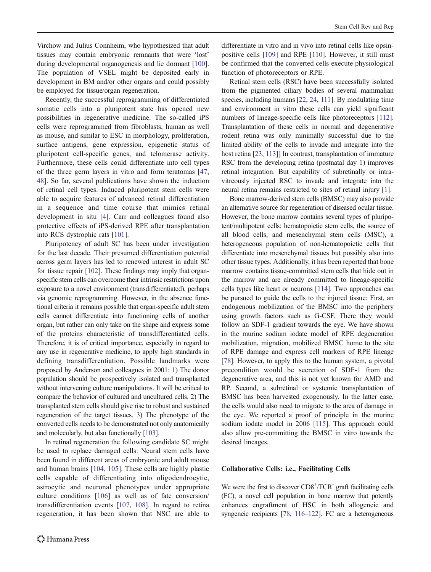Virchow and Julius Connheim, who hypothesized that adult tissues may contain embryonic remnants that were 'lost' during developmental organogenesis and lie dormant [[100\]](#page-10-0). The population of VSEL might be deposited early in development in BM and/or other organs and could possibly be employed for tissue/organ regeneration.

Recently, the successful reprogramming of differentiated somatic cells into a pluripotent state has opened new possibilities in regenerative medicine. The so-called iPS cells were reprogrammed from fibroblasts, human as well as mouse, and similar to ESC in morphology, proliferation, surface antigens, gene expression, epigenetic status of pluripotent cell-specific genes, and telomerase activity. Furthermore, these cells could differentiate into cell types of the three germ layers in vitro and form teratomas [[47,](#page-9-0) [48](#page-9-0)]. So far, several publications have shown the induction of retinal cell types. Induced pluripotent stem cells were able to acquire features of advanced retinal differentiation in a sequence and time course that mimics retinal development in situ [[4\]](#page-7-0). Carr and colleagues found also protective effects of iPS-derived RPE after transplantation into RCS dystrophic rats [[101\]](#page-10-0).

Pluripotency of adult SC has been under investigation for the last decade. Their presumed differentiation potential across germ layers has led to renewed interest in adult SC for tissue repair [[102\]](#page-10-0). These findings may imply that organspecific stem cells can overcome their intrinsic restrictions upon exposure to a novel environment (transdifferentiated), perhaps via genomic reprogramming. However, in the absence functional criteria it remains possible that organ-specific adult stem cells cannot differentiate into functioning cells of another organ, but rather can only take on the shape and express some of the proteins characteristic of transdifferentiated cells. Therefore, it is of critical importance, especially in regard to any use in regenerative medicine, to apply high standards in defining transdifferentiation. Possible landmarks were proposed by Anderson and colleagues in 2001: 1) The donor population should be prospectively isolated and transplanted without intervening culture manipulations. It will be critical to compare the behavior of cultured and uncultured cells. 2) The transplanted stem cells should give rise to robust and sustained regeneration of the target tissues. 3) The phenotype of the converted cells needs to be demonstrated not only anatomically and molecularly, but also functionally [[103](#page-10-0)].

In retinal regeneration the following candidate SC might be used to replace damaged cells: Neural stem cells have been found in different areas of embryonic and adult mouse and human brains [[104,](#page-10-0) [105](#page-10-0)]. These cells are highly plastic cells capable of differentiating into oligodendrocytic, astrocytic and neuronal phenotypes under appropriate culture conditions [\[106](#page-10-0)] as well as of fate conversion/ transdifferentiation events [\[107](#page-10-0), [108](#page-10-0)]. In regard to retina regeneration, it has been shown that NSC are able to

differentiate in vitro and in vivo into retinal cells like opsinpositive cells [\[109](#page-10-0)] and RPE [\[110\]](#page-10-0). However, it still must be confirmed that the converted cells execute physiological function of photoreceptors or RPE.

Retinal stem cells (RSC) have been successfully isolated from the pigmented ciliary bodies of several mammalian species, including humans [\[22,](#page-8-0) [24](#page-8-0), [111](#page-10-0)]. By modulating time and environment in vitro these cells can yield significant numbers of lineage-specific cells like photoreceptors [\[112\]](#page-10-0). Transplantation of these cells in normal and degenerative rodent retina was only minimally successful due to the limited ability of the cells to invade and integrate into the host retina [\[23](#page-8-0), [113\]](#page-10-0)] In contrast, transplantation of immature RSC from the developing retina (postnatal day 1) improves retinal integration. But capability of subretinally or intravitreously injected RSC to invade and integrate into the neural retina remains restricted to sites of retinal injury [\[1\]](#page-7-0).

Bone marrow-derived stem cells (BMSC) may also provide an alternative source for regeneration of diseased ocular tissue. However, the bone marrow contains several types of pluripotent/multipotent cells: hematopoietic stem cells, the source of all blood cells, and mesenchymal stem cells (MSC), a heterogeneous population of non-hematopoietic cells that differentiate into mesenchymal tissues but possibly also into other tissue types. Additionally, it has been reported that bone marrow contains tissue-committed stem cells that hide out in the marrow and are already committed to lineage-specific cells types like heart or neurons [[114\]](#page-10-0). Two approaches can be pursued to guide the cells to the injured tissue: First, an endogenous mobilization of the BMSC into the periphery using growth factors such as G-CSF. There they would follow an SDF-1 gradient towards the eye. We have shown in the murine sodium iodate model of RPE degeneration mobilization, migration, mobilized BMSC home to the site of RPE damage and express cell markers of RPE lineage [\[78](#page-9-0)]. However, to apply this to the human system, a pivotal precondition would be secretion of SDF-1 from the degenerative area, and this is not yet known for AMD and RP. Second, a subretinal or systemic transplantation of BMSC has been harvested exogenously. In the latter case, the cells would also need to migrate to the area of damage in the eye. We reported a proof of principle in the murine sodium iodate model in 2006 [\[115](#page-10-0)]. This approach could also allow pre-committing the BMSC in vitro towards the desired lineages.

## Collaborative Cells: i.e., Facilitating Cells

We were the first to discover CD8<sup>+</sup>/TCR<sup>-</sup> graft facilitating cells (FC), a novel cell population in bone marrow that potently enhances engraftment of HSC in both allogeneic and syngeneic recipients [\[78,](#page-9-0) [116](#page-10-0)–[122](#page-10-0)]. FC are a heterogeneous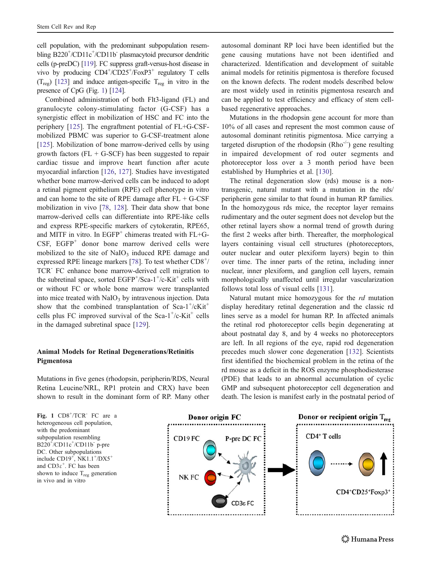cell population, with the predominant subpopulation resembling B220<sup>+</sup>/CD11c<sup>+</sup>/CD11b<sup>-</sup> plasmacytoid precursor dendritic cells (p-preDC) [\[119](#page-10-0)]. FC suppress graft-versus-host disease in vivo by producing  $CD4^+/CD25^+/FoxP3^+$  regulatory T cells  $(T_{reg})$  [\[123](#page-11-0)] and induce antigen-specific  $T_{reg}$  in vitro in the presence of CpG (Fig. 1) [\[124](#page-11-0)].

Combined administration of both Flt3-ligand (FL) and granulocyte colony-stimulating factor (G-CSF) has a synergistic effect in mobilization of HSC and FC into the periphery [[125\]](#page-11-0). The engraftment potential of FL+G-CSFmobilized PBMC was superior to G-CSF-treatment alone [\[125](#page-11-0)]. Mobilization of bone marrow-derived cells by using growth factors  $(FL + G-SCF)$  has been suggested to repair cardiac tissue and improve heart function after acute myocardial infarction [\[126](#page-11-0), [127\]](#page-11-0). Studies have investigated whether bone marrow-derived cells can be induced to adopt a retinal pigment epithelium (RPE) cell phenotype in vitro and can home to the site of RPE damage after  $FL + G-CSF$ mobilization in vivo [[78,](#page-9-0) [128\]](#page-11-0). Their data show that bone marrow-derived cells can differentiate into RPE-like cells and express RPE-specific markers of cytokeratin, RPE65, and MITF in vitro. In  $EGFP^+$  chimeras treated with  $FL+G CSF$ ,  $EGFP<sup>+</sup>$  donor bone marrow derived cells were mobilized to the site of  $NaIO<sub>3</sub>$  induced RPE damage and expressed RPE lineage markers [[78\]](#page-9-0). To test whether  $CD8^{+}$ / TCR- FC enhance bone marrow-derived cell migration to the subretinal space, sorted  $EGFP^{+}/Sca-1^{+}/c-Kit^{+}$  cells with or without FC or whole bone marrow were transplanted into mice treated with  $NaIO<sub>3</sub>$  by intravenous injection. Data show that the combined transplantation of Sca-1+ $/$ cKit<sup>+</sup> cells plus FC improved survival of the Sca- $1^+$ /c-Kit $^+$  cells in the damaged subretinal space [\[129\]](#page-11-0).

## Animal Models for Retinal Degenerations/Retinitis Pigmentosa

Mutations in five genes (rhodopsin, peripherin/RDS, Neural Retina Leucine/NRL, RP1 protein and CRX) have been shown to result in the dominant form of RP. Many other

autosomal dominant RP loci have been identified but the gene causing mutations have not been identified and characterized. Identification and development of suitable animal models for retinitis pigmentosa is therefore focused on the known defects. The rodent models described below are most widely used in retinitis pigmentosa research and can be applied to test efficiency and efficacy of stem cellbased regenerative approaches.

Mutations in the rhodopsin gene account for more than 10% of all cases and represent the most common cause of autosomal dominant retinitis pigmentosa. Mice carrying a targeted disruption of the rhodopsin  $(Rho^{-1})$  gene resulting in impaired development of rod outer segments and photoreceptor loss over a 3 month period have been established by Humphries et al. [\[130](#page-11-0)].

The retinal degeneration slow (rds) mouse is a nontransgenic, natural mutant with a mutation in the rds/ peripherin gene similar to that found in human RP families. In the homozygous rds mice, the receptor layer remains rudimentary and the outer segment does not develop but the other retinal layers show a normal trend of growth during the first 2 weeks after birth. Thereafter, the morphological layers containing visual cell structures (photoreceptors, outer nuclear and outer plexiform layers) begin to thin over time. The inner parts of the retina, including inner nuclear, inner plexiform, and ganglion cell layers, remain morphologically unaffected until irregular vascularization follows total loss of visual cells [\[131](#page-11-0)].

Natural mutant mice homozygous for the rd mutation display hereditary retinal degeneration and the classic rd lines serve as a model for human RP. In affected animals the retinal rod photoreceptor cells begin degenerating at about postnatal day 8, and by 4 weeks no photoreceptors are left. In all regions of the eye, rapid rod degeneration precedes much slower cone degeneration [[132\]](#page-11-0). Scientists first identified the biochemical problem in the retina of the rd mouse as a deficit in the ROS enzyme phosphodiesterase (PDE) that leads to an abnormal accumulation of cyclic GMP and subsequent photoreceptor cell degeneration and death. The lesion is manifest early in the postnatal period of



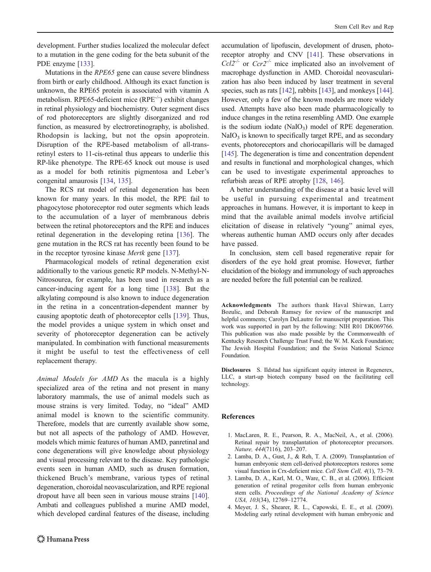<span id="page-7-0"></span>development. Further studies localized the molecular defect to a mutation in the gene coding for the beta subunit of the PDE enzyme [\[133](#page-11-0)].

Mutations in the RPE65 gene can cause severe blindness from birth or early childhood. Although its exact function is unknown, the RPE65 protein is associated with vitamin A metabolism. RPE65-deficient mice  $(RPE^{-1})$  exhibit changes in retinal physiology and biochemistry. Outer segment discs of rod photoreceptors are slightly disorganized and rod function, as measured by electroretinography, is abolished. Rhodopsin is lacking, but not the opsin apoprotein. Disruption of the RPE-based metabolism of all-transretinyl esters to 11-cis-retinal thus appears to underlie this RP-like phenotype. The RPE-65 knock out mouse is used as a model for both retinitis pigmentosa and Leber's congenital amaurosis [[134,](#page-11-0) [135\]](#page-11-0).

The RCS rat model of retinal degeneration has been known for many years. In this model, the RPE fail to phagocytose photoreceptor rod outer segments which leads to the accumulation of a layer of membranous debris between the retinal photoreceptors and the RPE and induces retinal degeneration in the developing retina [[136\]](#page-11-0). The gene mutation in the RCS rat has recently been found to be in the receptor tyrosine kinase Mertk gene [[137](#page-11-0)].

Pharmacological models of retinal degeneration exist additionally to the various genetic RP models. N-Methyl-N-Nitrosourea, for example, has been used in research as a cancer-inducing agent for a long time [\[138](#page-11-0)]. But the alkylating compound is also known to induce degeneration in the retina in a concentration-dependent manner by causing apoptotic death of photoreceptor cells [[139\]](#page-11-0). Thus, the model provides a unique system in which onset and severity of photoreceptor degeneration can be actively manipulated. In combination with functional measurements it might be useful to test the effectiveness of cell replacement therapy.

Animal Models for AMD As the macula is a highly specialized area of the retina and not present in many laboratory mammals, the use of animal models such as mouse strains is very limited. Today, no "ideal" AMD animal model is known to the scientific community. Therefore, models that are currently available show some, but not all aspects of the pathology of AMD. However, models which mimic features of human AMD, panretinal and cone degenerations will give knowledge about physiology and visual processing relevant to the disease. Key pathologic events seen in human AMD, such as drusen formation, thickened Bruch's membrane, various types of retinal degeneration, choroidal neovascularization, and RPE regional dropout have all been seen in various mouse strains [[140\]](#page-11-0). Ambati and colleagues published a murine AMD model, which developed cardinal features of the disease, including

accumulation of lipofuscin, development of drusen, photoreceptor atrophy and CNV [[141](#page-11-0)]. These observations in  $Ccl2^{-/-}$  or  $Ccr2^{-/-}$  mice implicated also an involvement of macrophage dysfunction in AMD. Choroidal neovascularization has also been induced by laser treatment in several species, such as rats [\[142\]](#page-11-0), rabbits [[143](#page-11-0)], and monkeys [[144\]](#page-11-0). However, only a few of the known models are more widely used. Attempts have also been made pharmacologically to induce changes in the retina resembling AMD. One example is the sodium iodate  $(NaIO<sub>3</sub>)$  model of RPE degeneration.  $NaIO<sub>3</sub>$  is known to specifically target RPE, and as secondary events, photoreceptors and choriocapillaris will be damaged [\[145](#page-11-0)]. The degeneration is time and concentration dependent and results in functional and morphological changes, which can be used to investigate experimental approaches to refurbish areas of RPE atrophy [[128](#page-11-0), [146\]](#page-11-0).

A better understanding of the disease at a basic level will be useful in pursuing experimental and treatment approaches in humans. However, it is important to keep in mind that the available animal models involve artificial elicitation of disease in relatively "young" animal eyes, whereas authentic human AMD occurs only after decades have passed.

In conclusion, stem cell based regenerative repair for disorders of the eye hold great promise. However, further elucidation of the biology and immunology of such approaches are needed before the full potential can be realized.

Acknowledgments The authors thank Haval Shirwan, Larry Bozulic, and Deborah Ramsey for review of the manuscript and helpful comments; Carolyn DeLautre for manuscript preparation. This work was supported in part by the following: NIH R01 DK069766. This publication was also made possible by the Commonwealth of Kentucky Research Challenge Trust Fund; the W. M. Keck Foundation; The Jewish Hospital Foundation; and the Swiss National Science Foundation.

Disclosures S. Ildstad has significant equity interest in Regenerex, LLC, a start-up biotech company based on the facilitating cell technology.

#### References

- 1. MacLaren, R. E., Pearson, R. A., MacNeil, A., et al. (2006). Retinal repair by transplantation of photoreceptor precursors. Nature, 444(7116), 203–207.
- 2. Lamba, D. A., Gust, J., & Reh, T. A. (2009). Transplantation of human embryonic stem cell-derived photoreceptors restores some visual function in Crx-deficient mice. Cell Stem Cell, 4(1), 73–79.
- 3. Lamba, D. A., Karl, M. O., Ware, C. B., et al. (2006). Efficient generation of retinal progenitor cells from human embryonic stem cells. Proceedings of the National Academy of Science USA, 103(34), 12769–12774.
- 4. Meyer, J. S., Shearer, R. L., Capowski, E. E., et al. (2009). Modeling early retinal development with human embryonic and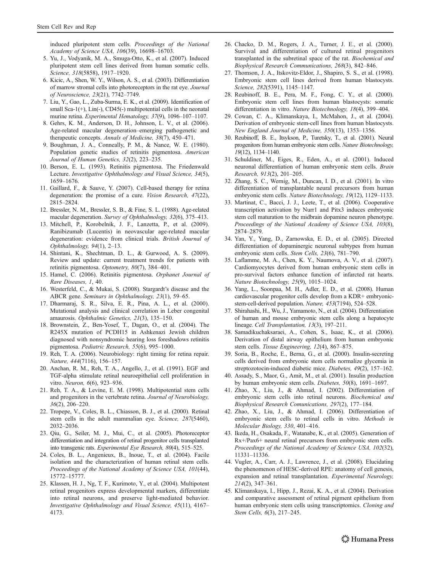<span id="page-8-0"></span>induced pluripotent stem cells. Proceedings of the National Academy of Science USA, 106(39), 16698–16703.

- 5. Yu, J., Vodyanik, M. A., Smuga-Otto, K., et al. (2007). Induced pluripotent stem cell lines derived from human somatic cells. Science, 318(5858), 1917–1920.
- 6. Kicic, A., Shen, W. Y., Wilson, A. S., et al. (2003). Differentiation of marrow stromal cells into photoreceptors in the rat eye. Journal of Neuroscience, 23(21), 7742–7749.
- 7. Liu, Y., Gao, L., Zuba-Surma, E. K., et al. (2009). Identification of small Sca-1(+),  $Lin(-)$ , CD45(-) multipotential cells in the neonatal murine retina. Experimental Hematology, 37(9), 1096–107–1107.
- 8. Gehrs, K. M., Anderson, D. H., Johnson, L. V., et al. (2006). Age-related macular degeneration–emerging pathogenetic and therapeutic concepts. Annals of Medicine, 38(7), 450–471.
- 9. Boughman, J. A., Conneally, P. M., & Nance, W. E. (1980). Population genetic studies of retinitis pigmentosa. American Journal of Human Genetics, 32(2), 223–235.
- 10. Berson, E. L. (1993). Retinitis pigmentosa. The Friedenwald Lecture. Investigative Ophthalmology and Visual Science, 34(5), 1659–1676.
- 11. Gaillard, F., & Sauve, Y. (2007). Cell-based therapy for retina degeneration: the promise of a cure. Vision Research, 47(22), 2815–2824.
- 12. Bressler, N. M., Bressler, S. B., & Fine, S. L. (1988). Age-related macular degeneration. Survey of Ophthalmology, 32(6), 375–413.
- 13. Mitchell, P., Korobelnik, J. F., Lanzetta, P., et al. (2009). Ranibizumab (Lucentis) in neovascular age-related macular degeneration: evidence from clinical trials. British Journal of Ophthalmology, 94(1), 2–13.
- 14. Shintani, K., Shechtman, D. L., & Gurwood, A. S. (2009). Review and update: current treatment trends for patients with retinitis pigmentosa. Optometry, 80(7), 384–401.
- 15. Hamel, C. (2006). Retinitis pigmentosa. Orphanet Journal of Rare Diseases, 1, 40.
- 16. Westerfeld, C., & Mukai, S. (2008). Stargardt's disease and the ABCR gene. Seminars in Ophthalmology, 23(1), 59–65.
- 17. Dharmaraj, S. R., Silva, E. R., Pina, A. L., et al. (2000). Mutational analysis and clinical correlation in Leber congenital amaurosis. Ophthalmic Genetics, 21(3), 135–150.
- 18. Brownstein, Z., Ben-Yosef, T., Dagan, O., et al. (2004). The R245X mutation of PCDH15 in Ashkenazi Jewish children diagnosed with nonsyndromic hearing loss foreshadows retinitis pigmentosa. Pediatric Research, 55(6), 995–1000.
- 19. Reh, T. A. (2006). Neurobiology: right timing for retina repair. Nature, 444(7116), 156–157.
- 20. Anchan, R. M., Reh, T. A., Angello, J., et al. (1991). EGF and TGF-alpha stimulate retinal neuroepithelial cell proliferation in vitro. Neuron, 6(6), 923–936.
- 21. Reh, T. A., & Levine, E. M. (1998). Multipotential stem cells and progenitors in the vertebrate retina. Journal of Neurobiology, 36(2), 206–220.
- 22. Tropepe, V., Coles, B. L., Chiasson, B. J., et al. (2000). Retinal stem cells in the adult mammalian eye. Science, 287(5460), 2032–2036.
- 23. Qiu, G., Seiler, M. J., Mui, C., et al. (2005). Photoreceptor differentiation and integration of retinal progenitor cells transplanted into transgenic rats. Experimental Eye Research, 80(4), 515–525.
- 24. Coles, B. L., Angenieux, B., Inoue, T., et al. (2004). Facile isolation and the characterization of human retinal stem cells. Proceedings of the National Academy of Science USA, 101(44), 15772–15777.
- 25. Klassen, H. J., Ng, T. F., Kurimoto, Y., et al. (2004). Multipotent retinal progenitors express developmental markers, differentiate into retinal neurons, and preserve light-mediated behavior. Investigative Ophthalmology and Visual Science, 45(11), 4167– 4173.
- 26. Chacko, D. M., Rogers, J. A., Turner, J. E., et al. (2000). Survival and differentiation of cultured retinal progenitors transplanted in the subretinal space of the rat. Biochemical and Biophysical Research Communications, 268(3), 842–846.
- 27. Thomson, J. A., Itskovitz-Eldor, J., Shapiro, S. S., et al. (1998). Embryonic stem cell lines derived from human blastocysts. Science, 282(5391), 1145–1147.
- 28. Reubinoff, B. E., Pera, M. F., Fong, C. Y., et al. (2000). Embryonic stem cell lines from human blastocysts: somatic differentiation in vitro. Nature Biotechnology, 18(4), 399–404.
- 29. Cowan, C. A., Klimanskaya, I., McMahon, J., et al. (2004). Derivation of embryonic stem-cell lines from human blastocysts. New England Journal of Medicine, 350(13), 1353–1356.
- 30. Reubinoff, B. E., Itsykson, P., Turetsky, T., et al. (2001). Neural progenitors from human embryonic stem cells. Nature Biotechnology, 19(12), 1134–1140.
- 31. Schuldiner, M., Eiges, R., Eden, A., et al. (2001). Induced neuronal differentiation of human embryonic stem cells. Brain Research, 913(2), 201–205.
- 32. Zhang, S. C., Wernig, M., Duncan, I. D., et al. (2001). In vitro differentiation of transplantable neural precursors from human embryonic stem cells. Nature Biotechnology, 19(12), 1129–1133.
- 33. Martinat, C., Bacci, J. J., Leete, T., et al. (2006). Cooperative transcription activation by Nurr1 and Pitx3 induces embryonic stem cell maturation to the midbrain dopamine neuron phenotype. Proceedings of the National Academy of Science USA, 103(8), 2874–2879.
- 34. Yan, Y., Yang, D., Zarnowska, E. D., et al. (2005). Directed differentiation of dopaminergic neuronal subtypes from human embryonic stem cells. Stem Cells, 23(6), 781–790.
- 35. Laflamme, M. A., Chen, K. Y., Naumova, A. V., et al. (2007). Cardiomyocytes derived from human embryonic stem cells in pro-survival factors enhance function of infarcted rat hearts. Nature Biotechnology, 25(9), 1015–1024.
- 36. Yang, L., Soonpaa, M. H., Adler, E. D., et al. (2008). Human cardiovascular progenitor cells develop from a KDR+ embryonicstem-cell-derived population. Nature, 453(7194), 524–528.
- 37. Shirahashi, H., Wu, J., Yamamoto, N., et al. (2004). Differentiation of human and mouse embryonic stem cells along a hepatocyte lineage. Cell Transplantation, 13(3), 197–211.
- 38. Samadikuchaksaraei, A., Cohen, S., Isaac, K., et al. (2006). Derivation of distal airway epithelium from human embryonic stem cells. Tissue Engineering, 12(4), 867–875.
- 39. Soria, B., Roche, E., Berna, G., et al. (2000). Insulin-secreting cells derived from embryonic stem cells normalize glycemia in streptozotocin-induced diabetic mice. Diabetes, 49(2), 157–162.
- 40. Assady, S., Maor, G., Amit, M., et al. (2001). Insulin production by human embryonic stem cells. Diabetes, 50(8), 1691–1697.
- 41. Zhao, X., Liu, J., & Ahmad, I. (2002). Differentiation of embryonic stem cells into retinal neurons. Biochemical and Biophysical Research Comunications, 297(2), 177–184.
- 42. Zhao, X., Liu, J., & Ahmad, I. (2006). Differentiation of embryonic stem cells to retinal cells in vitro. Methods in Molecular Biology, 330, 401–416.
- 43. Ikeda, H., Osakada, F., Watanabe, K., et al. (2005). Generation of Rx+/Pax6+ neural retinal precursors from embryonic stem cells. Proceedings of the National Academy of Science USA, 102(32), 11331–11336.
- 44. Vugler, A., Carr, A. J., Lawrence, J., et al. (2008). Elucidating the phenomenon of HESC-derived RPE: anatomy of cell genesis, expansion and retinal transplantation. Experimental Neurology, 214(2), 347–361.
- 45. Klimanskaya, I., Hipp, J., Rezai, K. A., et al. (2004). Derivation and comparative assessment of retinal pigment epithelium from human embryonic stem cells using transcriptomics. Cloning and Stem Cells, 6(3), 217–245.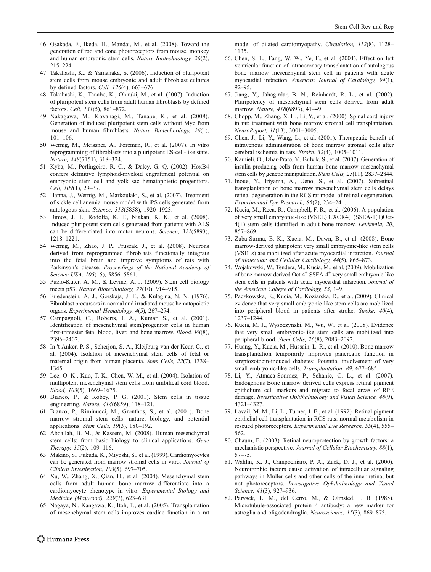- <span id="page-9-0"></span>46. Osakada, F., Ikeda, H., Mandai, M., et al. (2008). Toward the generation of rod and cone photoreceptors from mouse, monkey and human embryonic stem cells. Nature Biotechnology, 26(2), 215–224.
- 47. Takahashi, K., & Yamanaka, S. (2006). Induction of pluripotent stem cells from mouse embryonic and adult fibroblast cultures by defined factors. Cell, 126(4), 663–676.
- 48. Takahashi, K., Tanabe, K., Ohnuki, M., et al. (2007). Induction of pluripotent stem cells from adult human fibroblasts by defined factors. Cell, 131(5), 861–872.
- 49. Nakagawa, M., Koyanagi, M., Tanabe, K., et al. (2008). Generation of induced pluripotent stem cells without Myc from mouse and human fibroblasts. Nature Biotechnology, 26(1), 101–106.
- 50. Wernig, M., Meissner, A., Foreman, R., et al. (2007). In vitro reprogramming of fibroblasts into a pluripotent ES-cell-like state. Nature, 448(7151), 318–324.
- 51. Kyba, M., Perlingeiro, R. C., & Daley, G. Q. (2002). HoxB4 confers definitive lymphoid-myeloid engraftment potential on embryonic stem cell and yolk sac hematopoietic progenitors. Cell, 109(1), 29–37.
- 52. Hanna, J., Wernig, M., Markoulaki, S., et al. (2007). Treatment of sickle cell anemia mouse model with iPS cells generated from autologous skin. Science, 318(5858), 1920–1923.
- 53. Dimos, J. T., Rodolfa, K. T., Niakan, K. K., et al. (2008). Induced pluripotent stem cells generated from patients with ALS can be differentiated into motor neurons. Science, 321(5893), 1218–1221.
- 54. Wernig, M., Zhao, J. P., Pruszak, J., et al. (2008). Neurons derived from reprogrammed fibroblasts functionally integrate into the fetal brain and improve symptoms of rats with Parkinson's disease. Proceedings of the National Academy of Science USA, 105(15), 5856-5861.
- 55. Puzio-Kuter, A. M., & Levine, A. J. (2009). Stem cell biology meets p53. Nature Biotechnology, 27(10), 914–915.
- 56. Friedenstein, A. J., Gorskaja, J. F., & Kulagina, N. N. (1976). Fibroblast precursors in normal and irradiated mouse hematopoietic organs. Experimental Hematology, 4(5), 267–274.
- 57. Campagnoli, C., Roberts, I. A., Kumar, S., et al. (2001). Identification of mesenchymal stem/progenitor cells in human first-trimester fetal blood, liver, and bone marrow. Blood, 98(8), 2396–2402.
- 58. In 't Anker, P. S., Scherjon, S. A., Kleijburg-van der Keur, C., et al. (2004). Isolation of mesenchymal stem cells of fetal or maternal origin from human placenta. Stem Cells, 22(7), 1338– 1345.
- 59. Lee, O. K., Kuo, T. K., Chen, W. M., et al. (2004). Isolation of multipotent mesenchymal stem cells from umbilical cord blood. Blood, 103(5), 1669–1675.
- 60. Bianco, P., & Robey, P. G. (2001). Stem cells in tissue engineering. Nature, 414(6859), 118–121.
- 61. Bianco, P., Riminucci, M., Gronthos, S., et al. (2001). Bone marrow stromal stem cells: nature, biology, and potential applications. Stem Cells, 19(3), 180–192.
- 62. Abdallah, B. M., & Kassem, M. (2008). Human mesenchymal stem cells: from basic biology to clinical applications. Gene Therapy, 15(2), 109–116.
- 63. Makino, S., Fukuda, K., Miyoshi, S., et al. (1999). Cardiomyocytes can be generated from marrow stromal cells in vitro. Journal of Clinical Investigation, 103(5), 697–705.
- 64. Xu, W., Zhang, X., Qian, H., et al. (2004). Mesenchymal stem cells from adult human bone marrow differentiate into a cardiomyocyte phenotype in vitro. Experimental Biology and Medicine (Maywood), 229(7), 623–631.
- 65. Nagaya, N., Kangawa, K., Itoh, T., et al. (2005). Transplantation of mesenchymal stem cells improves cardiac function in a rat

model of dilated cardiomyopathy. Circulation, 112(8), 1128– 1135.

- 66. Chen, S. L., Fang, W. W., Ye, F., et al. (2004). Effect on left ventricular function of intracoronary transplantation of autologous bone marrow mesenchymal stem cell in patients with acute myocardial infarction. American Journal of Cardiology, 94(1), 92–95.
- 67. Jiang, Y., Jahagirdar, B. N., Reinhardt, R. L., et al. (2002). Pluripotency of mesenchymal stem cells derived from adult marrow. Nature, 418(6893), 41–49.
- 68. Chopp, M., Zhang, X. H., Li, Y., et al. (2000). Spinal cord injury in rat: treatment with bone marrow stromal cell transplantation. NeuroReport, 11(13), 3001–3005.
- 69. Chen, J., Li, Y., Wang, L., et al. (2001). Therapeutic benefit of intravenous administration of bone marrow stromal cells after cerebral ischemia in rats. Stroke, 32(4), 1005–1011.
- 70. Karnieli, O., Izhar-Prato, Y., Bulvik, S., et al. (2007). Generation of insulin-producing cells from human bone marrow mesenchymal stem cells by genetic manipulation. Stem Cells, 25(11), 2837–2844.
- 71. Inoue, Y., Iriyama, A., Ueno, S., et al. (2007). Subretinal transplantation of bone marrow mesenchymal stem cells delays retinal degeneration in the RCS rat model of retinal degeneration. Experimental Eye Research, 85(2), 234–241.
- 72. Kucia, M., Reca, R., Campbell, F. R., et al. (2006). A population of very small embryonic-like (VSEL) CXCR4(+)SSEA-1(+)Oct-4(+) stem cells identified in adult bone marrow. Leukemia, 20, 857–869.
- 73. Zuba-Surma, E. K., Kucia, M., Dawn, B., et al. (2008). Bone marrow-derived pluripotent very small embryonic-like stem cells (VSELs) are mobilized after acute myocardial infarction. Journal of Molecular and Cellular Cardiology, 44(5), 865–873.
- 74. Wojakowski, W., Tendera, M., Kucia, M., et al. (2009). Mobilization of bone marrow-derived Oct- $4^+$  SSEA- $4^+$  very small embryonic-like stem cells in patients with actue myocardial infarction. Journal of the American College of Cardiology, 53, 1–9.
- 75. Paczkowska, E., Kucia, M., Koziarska, D., et al. (2009). Clinical evidence that very small embryonic-like stem cells are mobilized into peripheral blood in patients after stroke. Stroke, 40(4), 1237–1244.
- 76. Kucia, M. J., Wysoczynski, M., Wu, W., et al. (2008). Evidence that very small embryonic-like stem cells are mobilized into peripheral blood. Stem Cells, 26(8), 2083–2092.
- 77. Huang, Y., Kucia, M., Hussain, L. R., et al. (2010). Bone marrow transplantation temporarily improves pancreatic function in streptozotocin-induced diabetes: Potential involvement of very small embryonic-like cells. Transplantation, 89, 677–685.
- 78. Li, Y., Atmaca-Sonmez, P., Schanie, C. L., et al. (2007). Endogenous Bone marrow derived cells express retinal pigment epithelium cell markers and migrate to focal areas of RPE damage. Investigative Ophthalmology and Visual Science, 48(9), 4321–4327.
- 79. Lavail, M. M., Li, L., Turner, J. E., et al. (1992). Retinal pigment epithelial cell transplantation in RCS rats: normal metabolism in rescued photoreceptors. Experimental Eye Research, 55(4), 555– 562.
- 80. Chaum, E. (2003). Retinal neuroprotection by growth factors: a mechanistic perspective. Journal of Cellular Biochemistry, 88(1), 57–75.
- 81. Wahlin, K. J., Campochiaro, P. A., Zack, D. J., et al. (2000). Neurotrophic factors cause activation of intracellular signaling pathways in Muller cells and other cells of the inner retina, but not photoreceptors. Investigative Ophthalmology and Visual Science, 41(3), 927–936.
- 82. Parysek, L. M., del Cerro, M., & Olmsted, J. B. (1985). Microtubule-associated protein 4 antibody: a new marker for astroglia and oligodendroglia. Neuroscience, 15(3), 869–875.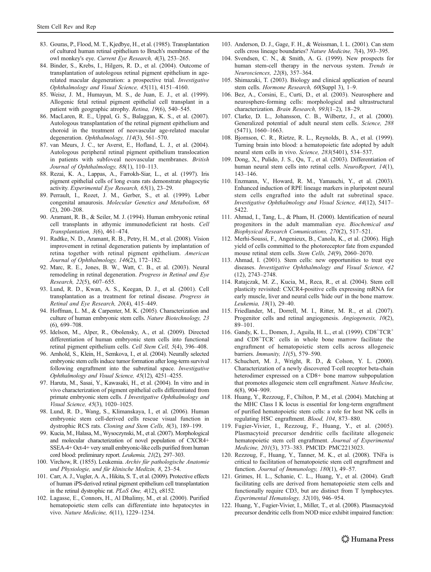- <span id="page-10-0"></span>83. Gouras, P., Flood, M. T., Kjedbye, H., et al. (1985). Transplantation of cultured human retinal epithelium to Bruch's membrane of the owl monkey's eye. Current Eye Research, 4(3), 253–265.
- 84. Binder, S., Krebs, I., Hilgers, R. D., et al. (2004). Outcome of transplantation of autologous retinal pigment epithelium in agerelated macular degeneration: a prospective trial. Investigative Ophthalmology and Visual Science, 45(11), 4151–4160.
- 85. Weisz, J. M., Humayun, M. S., de Juan, E. J., et al. (1999). Allogenic fetal retinal pigment epithelial cell transplant in a patient with geographic atrophy. Retina, 19(6), 540–545.
- 86. MacLaren, R. E., Uppal, G. S., Balaggan, K. S., et al. (2007). Autologous transplantation of the retinal pigment epithelium and choroid in the treatment of neovascular age-related macular degeneration. Ophthalmology, 114(3), 561–570.
- 87. van Meurs, J. C., ter Averst, E., Hofland, L. J., et al. (2004). Autologous peripheral retinal pigment epithelium translocation in patients with subfoveal neovascular membranes. British Journal of Ophthalmology, 88(1), 110–113.
- 88. Rezai, K. A., Lappas, A., Farrokh-Siar, L., et al. (1997). Iris pigment epithelial cells of long evans rats demonstrate phagocytic activity. Experimental Eye Research, 65(1), 23–29.
- 89. Perrault, I., Rozet, J. M., Gerber, S., et al. (1999). Leber congenital amaurosis. Molecular Genetics and Metabolism, 68 (2), 200–208.
- 90. Aramant, R. B., & Seiler, M. J. (1994). Human embryonic retinal cell transplants in athymic immunodeficient rat hosts. Cell Transplantation, 3(6), 461–474.
- 91. Radtke, N. D., Aramant, R. B., Petry, H. M., et al. (2008). Vision improvement in retinal degeneration patients by implantation of retina together with retinal pigment epithelium. American Journal of Ophthalmology, 146(2), 172–182.
- 92. Marc, R. E., Jones, B. W., Watt, C. B., et al. (2003). Neural remodeling in retinal degeneration. Progress in Retinal and Eye Research, 22(5), 607–655.
- 93. Lund, R. D., Kwan, A. S., Keegan, D. J., et al. (2001). Cell transplantation as a treatment for retinal disease. Progress in Retinal and Eye Research, 20(4), 415–449.
- 94. Hoffman, L. M., & Carpenter, M. K. (2005). Characterization and culture of human embryonic stem cells. Nature Biotechnology, 23 (6), 699–708.
- 95. Idelson, M., Alper, R., Obolensky, A., et al. (2009). Directed differentiation of human embryonic stem cells into functional retinal pigment epithelium cells. Cell Stem Cell, 5(4), 396–408.
- 96. Arnhold, S., Klein, H., Semkova, I., et al. (2004). Neurally selected embryonic stem cells induce tumor formation after long-term survival following engraftment into the subretinal space. Investigative Ophthalmology and Visual Science, 45(12), 4251–4255.
- 97. Haruta, M., Sasai, Y., Kawasaki, H., et al. (2004). In vitro and in vivo characterization of pigment epithelial cells differentiated from primate embryonic stem cells. I Investigative Ophthalmology and Visual Science, 45(3), 1020–1025.
- 98. Lund, R. D., Wang, S., Klimanskaya, I., et al. (2006). Human embryonic stem cell-derived cells rescue visual function in dystrophic RCS rats. Cloning and Stem Cells, 8(3), 189–199.
- 99. Kucia, M., Halasa, M., Wysoczynski, M., et al. (2007). Morphological and molecular characterization of novel population of CXCR4+ SSEA-4+ Oct-4+ very small embryonic-like cells purified from human cord blood: preliminary report. Leukemia, 21(2), 297–303.
- 100. Virchow, R. (1855). Leukemia. Archiv für pathologische Anatomie und Physiologie, und für klinische Medizin, 8, 23–54.
- 101. Carr, A. J., Vugler, A. A., Hikita, S. T., et al. (2009). Protective effects of human iPS-derived retinal pigment epithelium cell transplantation in the retinal dystrophic rat. PLoS One, 4(12), e8152.
- 102. Lagasse, E., Connors, H., Al Dhalimy, M., et al. (2000). Purified hematopoietic stem cells can differentiate into hepatocytes in vivo. Nature Medicine, 6(11), 1229–1234.
- 103. Anderson, D. J., Gage, F. H., & Weissman, I. L. (2001). Can stem cells cross lineage boundaries? Nature Medicine, 7(4), 393–395.
- 104. Svendsen, C. N., & Smith, A. G. (1999). New prospects for human stem-cell therapy in the nervous system. Trends in Neurosciences, 22(8), 357–364.
- 105. Shimazaki, T. (2003). Biology and clinical application of neural stem cells. Hormone Research, 60(Suppl 3), 1–9.
- 106. Bez, A., Corsini, E., Curti, D., et al. (2003). Neurosphere and neurosphere-forming cells: morphological and ultrastructural characterization. Brain Research, 993(1–2), 18–29.
- 107. Clarke, D. L., Johansson, C. B., Wilbertz, J., et al. (2000). Generalized potential of adult neural stem cells. Science, 288 (5471), 1660–1663.
- 108. Bjornson, C. R., Rietze, R. L., Reynolds, B. A., et al. (1999). Turning brain into blood: a hematopoietic fate adopted by adult neural stem cells in vivo. Science, 283(5401), 534–537.
- 109. Dong, X., Pulido, J. S., Qu, T., et al. (2003). Differentiation of human neural stem cells into retinal cells. NeuroReport, 14(1), 143–146.
- 110. Enzmann, V., Howard, R. M., Yamauchi, Y., et al. (2003). Enhanced induction of RPE lineage markers in pluripotent neural stem cells engrafted into the adult rat subretinal space. Investigative Ophthalmology and Visual Science, 44(12), 5417– 5422.
- 111. Ahmad, I., Tang, L., & Pham, H. (2000). Identification of neural progenitors in the adult mammalian eye. Biochemical and Biophysical Research Comunications, 270(2), 517–521.
- 112. Merhi-Soussi, F., Angenieux, B., Canola, K., et al. (2006). High yield of cells committed to the photoreceptor fate from expanded mouse retinal stem cells. Stem Cells, 24(9), 2060–2070.
- 113. Ahmad, I. (2001). Stem cells: new opportunities to treat eye diseases. Investigative Ophthalmology and Visual Science, 42 (12), 2743–2748.
- 114. Ratajczak, M. Z., Kucia, M., Reca, R., et al. (2004). Stem cell plasticity revisited: CXCR4-positive cells expressing mRNA for early muscle, liver and neural cells 'hide out' in the bone marrow. Leukemia, 18(1), 29–40.
- 115. Friedlander, M., Dorrell, M. I., Ritter, M. R., et al. (2007). Progenitor cells and retinal angiogenesis. Angiogenesis, 10(2), 89–101.
- 116. Gandy, K. L., Domen, J., Aguila, H. L., et al. (1999). CD8<sup>+</sup>TCR<sup>+</sup> and CD8<sup>+</sup> TCR- cells in whole bone marrow facilitate the engraftment of hematopoietic stem cells across allogeneic barriers. Immunity, 11(5), 579–590.
- 117. Schuchert, M. J., Wright, R. D., & Colson, Y. L. (2000). Characterization of a newly discovered T-cell receptor beta-chain heterodimer expressed on a CD8+ bone marrow subpopulation that promotes allogeneic stem cell engraftment. Nature Medicine, 6(8), 904–909.
- 118. Huang, Y., Rezzoug, F., Chilton, P. M., et al. (2004). Matching at the MHC Class I K locus is essential for long-term engraftment of purified hematopoietic stem cells: a role for host NK cells in regulating HSC engraftment. Blood, 104, 873–880.
- 119. Fugier-Vivier, I., Rezzoug, F., Huang, Y., et al. (2005). Plasmacytoid precursor dendritic cells facilitate allogeneic hematopoietic stem cell engraftment. Journal of Experimental Medicine, 201(3), 373–383. PMCID: PMC2213023.
- 120. Rezzoug, F., Huang, Y., Tanner, M. K., et al. (2008). TNFa is critical to facilitation of hematopoietic stem cell engraftment and function. Journal of Immunology, 180(1), 49–57.
- 121. Grimes, H. L., Schanie, C. L., Huang, Y., et al. (2004). Graft facilitating cells are derived from hematopoietic stem cells and functionally require CD3, but are distinct from T lymphocytes. Experimental Hematology, 32(10), 946–954.
- 122. Huang, Y., Fugier-Vivier, I., Miller, T., et al. (2008). Plasmacytoid precursor dendritic cells from NOD mice exhibit impaired function: